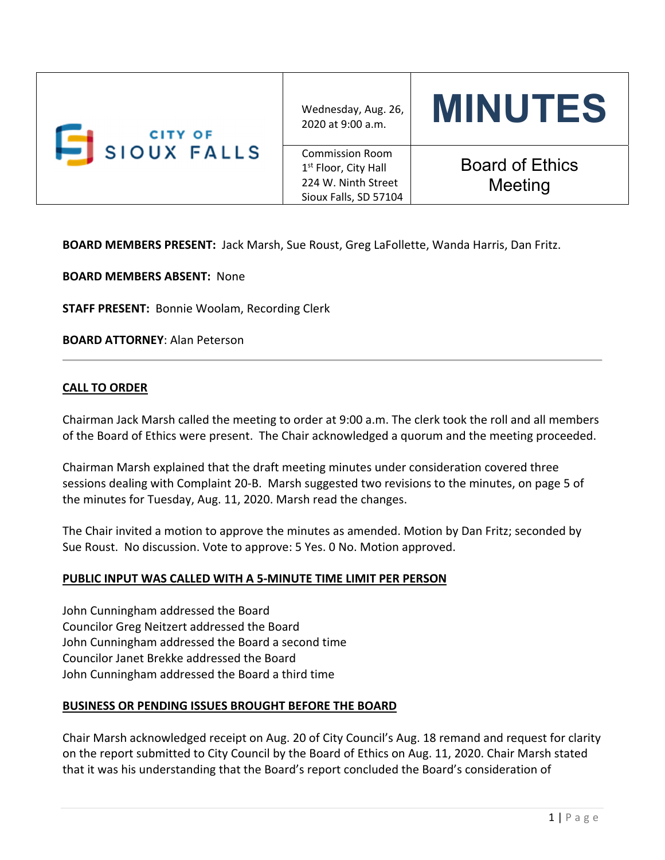| <b>CITY OF</b><br>SIOUX FALLS | Wednesday, Aug. 26,<br>2020 at 9:00 a.m.                                                                   | <b>MINUTES</b>                    |
|-------------------------------|------------------------------------------------------------------------------------------------------------|-----------------------------------|
|                               | <b>Commission Room</b><br>1 <sup>st</sup> Floor, City Hall<br>224 W. Ninth Street<br>Sioux Falls, SD 57104 | <b>Board of Ethics</b><br>Meeting |

**BOARD MEMBERS PRESENT:** Jack Marsh, Sue Roust, Greg LaFollette, Wanda Harris, Dan Fritz.

**BOARD MEMBERS ABSENT:** None

**STAFF PRESENT:** Bonnie Woolam, Recording Clerk

**BOARD ATTORNEY**: Alan Peterson

## **CALL TO ORDER**

Chairman Jack Marsh called the meeting to order at 9:00 a.m. The clerk took the roll and all members of the Board of Ethics were present. The Chair acknowledged a quorum and the meeting proceeded.

Chairman Marsh explained that the draft meeting minutes under consideration covered three sessions dealing with Complaint 20‐B. Marsh suggested two revisions to the minutes, on page 5 of the minutes for Tuesday, Aug. 11, 2020. Marsh read the changes.

The Chair invited a motion to approve the minutes as amended. Motion by Dan Fritz; seconded by Sue Roust. No discussion. Vote to approve: 5 Yes. 0 No. Motion approved.

### **PUBLIC INPUT WAS CALLED WITH A 5‐MINUTE TIME LIMIT PER PERSON**

John Cunningham addressed the Board Councilor Greg Neitzert addressed the Board John Cunningham addressed the Board a second time Councilor Janet Brekke addressed the Board John Cunningham addressed the Board a third time

### **BUSINESS OR PENDING ISSUES BROUGHT BEFORE THE BOARD**

Chair Marsh acknowledged receipt on Aug. 20 of City Council's Aug. 18 remand and request for clarity on the report submitted to City Council by the Board of Ethics on Aug. 11, 2020. Chair Marsh stated that it was his understanding that the Board's report concluded the Board's consideration of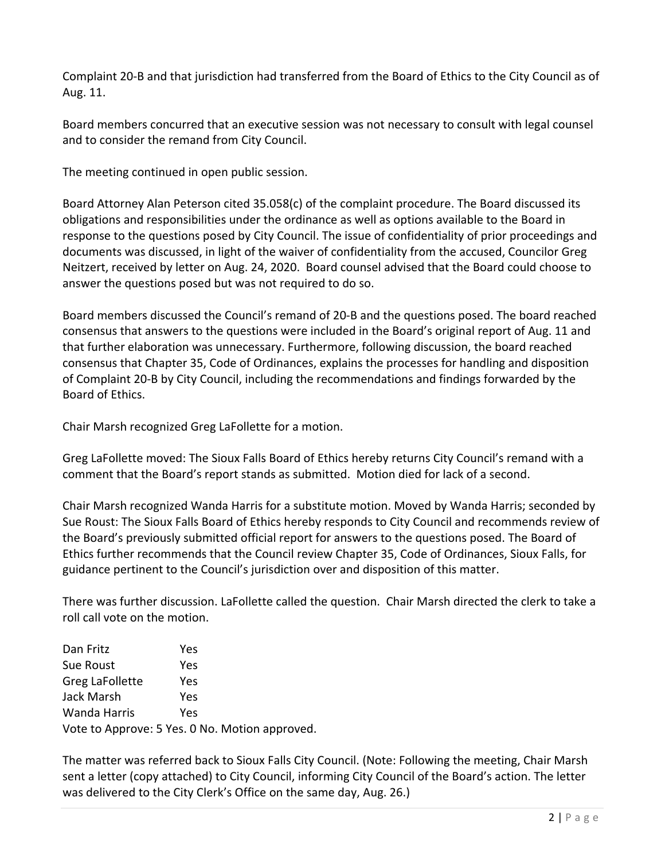Complaint 20‐B and that jurisdiction had transferred from the Board of Ethics to the City Council as of Aug. 11.

Board members concurred that an executive session was not necessary to consult with legal counsel and to consider the remand from City Council.

The meeting continued in open public session.

Board Attorney Alan Peterson cited 35.058(c) of the complaint procedure. The Board discussed its obligations and responsibilities under the ordinance as well as options available to the Board in response to the questions posed by City Council. The issue of confidentiality of prior proceedings and documents was discussed, in light of the waiver of confidentiality from the accused, Councilor Greg Neitzert, received by letter on Aug. 24, 2020. Board counsel advised that the Board could choose to answer the questions posed but was not required to do so.

Board members discussed the Council's remand of 20‐B and the questions posed. The board reached consensus that answers to the questions were included in the Board's original report of Aug. 11 and that further elaboration was unnecessary. Furthermore, following discussion, the board reached consensus that Chapter 35, Code of Ordinances, explains the processes for handling and disposition of Complaint 20‐B by City Council, including the recommendations and findings forwarded by the Board of Ethics.

Chair Marsh recognized Greg LaFollette for a motion.

Greg LaFollette moved: The Sioux Falls Board of Ethics hereby returns City Council's remand with a comment that the Board's report stands as submitted. Motion died for lack of a second.

Chair Marsh recognized Wanda Harris for a substitute motion. Moved by Wanda Harris; seconded by Sue Roust: The Sioux Falls Board of Ethics hereby responds to City Council and recommends review of the Board's previously submitted official report for answers to the questions posed. The Board of Ethics further recommends that the Council review Chapter 35, Code of Ordinances, Sioux Falls, for guidance pertinent to the Council's jurisdiction over and disposition of this matter.

There was further discussion. LaFollette called the question. Chair Marsh directed the clerk to take a roll call vote on the motion.

| Dan Fritz       | Yes                                            |
|-----------------|------------------------------------------------|
| Sue Roust       | Yes                                            |
| Greg LaFollette | Yes                                            |
| Jack Marsh      | Yes                                            |
| Wanda Harris    | Yes                                            |
|                 | Vote to Approve: 5 Yes. 0 No. Motion approved. |

The matter was referred back to Sioux Falls City Council. (Note: Following the meeting, Chair Marsh sent a letter (copy attached) to City Council, informing City Council of the Board's action. The letter was delivered to the City Clerk's Office on the same day, Aug. 26.)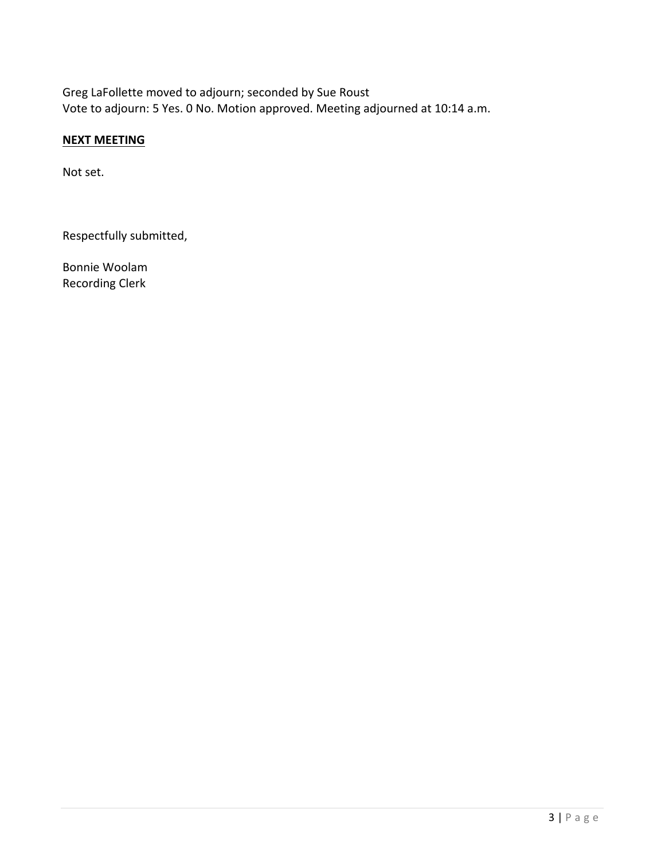Greg LaFollette moved to adjourn; seconded by Sue Roust Vote to adjourn: 5 Yes. 0 No. Motion approved. Meeting adjourned at 10:14 a.m.

# **NEXT MEETING**

Not set.

Respectfully submitted,

Bonnie Woolam Recording Clerk